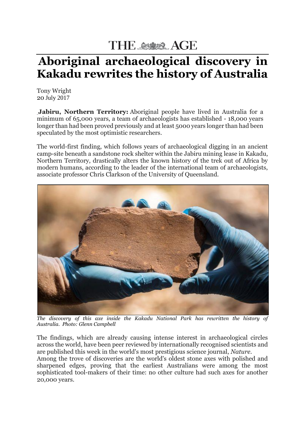## THE ASSESSES AGE

## **Aboriginal archaeological discovery in Kakadu rewrites the history of Australia**

Tony Wright 20 July 2017

**Jabiru, Northern Territory:** Aboriginal people have lived in Australia for a minimum of 65,000 years, a team of archaeologists has established - 18,000 years longer than had been proved previously and at least 5000 years longer than had been speculated by the most optimistic researchers.

The world-first finding, which follows years of archaeological digging in an ancient camp-site beneath a sandstone rock shelter within the Jabiru mining lease in Kakadu, Northern Territory, drastically alters the known history of the trek out of Africa by modern humans, according to the leader of the international team of archaeologists, associate professor Chris Clarkson of the University of Queensland.



*The discovery of this axe inside the Kakadu National Park has rewritten the history of Australia. Photo: Glenn Campbell*

The findings, which are already causing intense interest in archaeological circles across the world, have been peer reviewed by internationally recognised scientists and are published this week in the world's most prestigious science journal, *Nature*.

Among the trove of discoveries are the world's oldest stone axes with polished and sharpened edges, proving that the earliest Australians were among the most sophisticated tool-makers of their time: no other culture had such axes for another 20,000 years.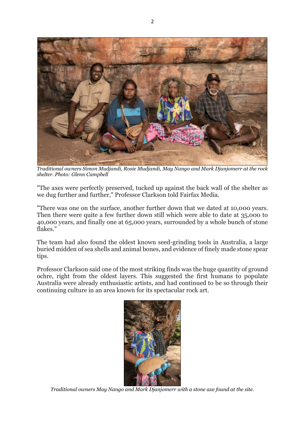

*Traditional owners Simon Mudjandi, Rosie Mudjandi, May Nango and Mark Djanjomerr at the rock shelter. Photo: Glenn Campbell*

"The axes were perfectly preserved, tucked up against the back wall of the shelter as we dug further and further," Professor Clarkson told Fairfax Media.

"There was one on the surface, another further down that we dated at 10,000 years. Then there were quite a few further down still which were able to date at 35,000 to 40,000 years, and finally one at 65,000 years, surrounded by a whole bunch of stone flakes."

The team had also found the oldest known seed-grinding tools in Australia, a large buried midden of sea shells and animal bones, and evidence of finely made stone spear tips.

Professor Clarkson said one of the most striking finds was the huge quantity of ground ochre, right from the oldest layers. This suggested the first humans to populate Australia were already enthusiastic artists, and had continued to be so through their continuing culture in an area known for its spectacular rock art.



*Traditional owners May Nango and Mark Djanjomerr with a stone axe found at the site.*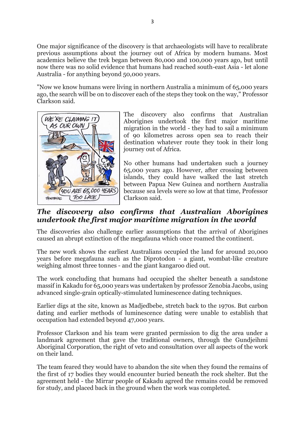One major significance of the discovery is that archaeologists will have to recalibrate previous assumptions about the journey out of Africa by modern humans. Most academics believe the trek began between 80,000 and 100,000 years ago, but until now there was no solid evidence that humans had reached south-east Asia - let alone Australia - for anything beyond 50,000 years.

"Now we know humans were living in northern Australia a minimum of 65,000 years ago, the search will be on to discover each of the steps they took on the way," Professor Clarkson said.



The discovery also confirms that Australian Aborigines undertook the first major maritime migration in the world - they had to sail a minimum of 90 kilometres across open sea to reach their destination whatever route they took in their long journey out of Africa.

No other humans had undertaken such a journey 65,000 years ago. However, after crossing between islands, they could have walked the last stretch between Papua New Guinea and northern Australia because sea levels were so low at that time, Professor Clarkson said.

## *The discovery also confirms that Australian Aborigines undertook the first major maritime migration in the world*

The discoveries also challenge earlier assumptions that the arrival of Aborigines caused an abrupt extinction of the megafauna which once roamed the continent.

The new work shows the earliest Australians occupied the land for around 20,000 years before megafauna such as the Diprotodon - a giant, wombat-like creature weighing almost three tonnes - and the giant kangaroo died out.

The work concluding that humans had occupied the shelter beneath a sandstone massif in Kakadu for 65,000 years was undertaken by professor Zenobia Jacobs, using advanced single-grain optically-stimulated luminescence dating techniques.

Earlier digs at the site, known as Madjedbebe, stretch back to the 1970s. But carbon dating and earlier methods of luminescence dating were unable to establish that occupation had extended beyond 47,000 years.

Professor Clarkson and his team were granted permission to dig the area under a landmark agreement that gave the traditional owners, through the Gundjeihmi Aboriginal Corporation, the right of veto and consultation over all aspects of the work on their land.

The team feared they would have to abandon the site when they found the remains of the first of 17 bodies they would encounter buried beneath the rock shelter. But the agreement held - the Mirrar people of Kakadu agreed the remains could be removed for study, and placed back in the ground when the work was completed.